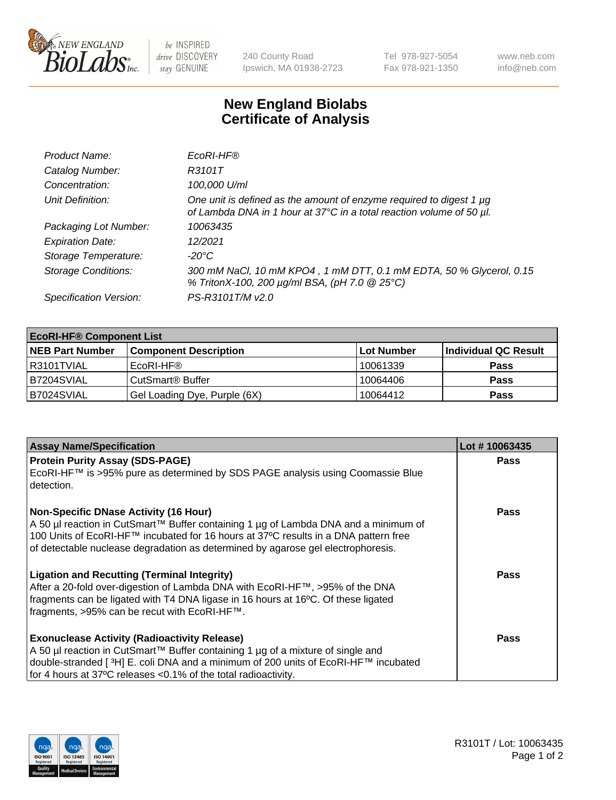

 $be$  INSPIRED drive DISCOVERY stay GENUINE

240 County Road Ipswich, MA 01938-2723 Tel 978-927-5054 Fax 978-921-1350 www.neb.com info@neb.com

## **New England Biolabs Certificate of Analysis**

| Product Name:              | EcoRI-HF®                                                                                                                                   |
|----------------------------|---------------------------------------------------------------------------------------------------------------------------------------------|
| Catalog Number:            | R3101T                                                                                                                                      |
| Concentration:             | 100,000 U/ml                                                                                                                                |
| Unit Definition:           | One unit is defined as the amount of enzyme required to digest 1 µg<br>of Lambda DNA in 1 hour at 37°C in a total reaction volume of 50 µl. |
| Packaging Lot Number:      | 10063435                                                                                                                                    |
| <b>Expiration Date:</b>    | 12/2021                                                                                                                                     |
| Storage Temperature:       | -20°C                                                                                                                                       |
| <b>Storage Conditions:</b> | 300 mM NaCl, 10 mM KPO4, 1 mM DTT, 0.1 mM EDTA, 50 % Glycerol, 0.15<br>% TritonX-100, 200 µg/ml BSA, (pH 7.0 @ 25°C)                        |
| Specification Version:     | PS-R3101T/M v2.0                                                                                                                            |

| <b>EcoRI-HF® Component List</b> |                              |            |                      |  |  |
|---------------------------------|------------------------------|------------|----------------------|--|--|
| <b>NEB Part Number</b>          | <b>Component Description</b> | Lot Number | Individual QC Result |  |  |
| R3101TVIAL                      | EcoRI-HF®                    | 10061339   | <b>Pass</b>          |  |  |
| B7204SVIAL                      | CutSmart <sup>®</sup> Buffer | 10064406   | <b>Pass</b>          |  |  |
| B7024SVIAL                      | Gel Loading Dye, Purple (6X) | 10064412   | <b>Pass</b>          |  |  |

| <b>Assay Name/Specification</b>                                                                                                                                                                                                                                                                                  | Lot #10063435 |
|------------------------------------------------------------------------------------------------------------------------------------------------------------------------------------------------------------------------------------------------------------------------------------------------------------------|---------------|
| <b>Protein Purity Assay (SDS-PAGE)</b><br>EcoRI-HF™ is >95% pure as determined by SDS PAGE analysis using Coomassie Blue<br>detection.                                                                                                                                                                           | <b>Pass</b>   |
| <b>Non-Specific DNase Activity (16 Hour)</b><br>  A 50 µl reaction in CutSmart™ Buffer containing 1 µg of Lambda DNA and a minimum of<br>100 Units of EcoRI-HF™ incubated for 16 hours at 37°C results in a DNA pattern free<br>of detectable nuclease degradation as determined by agarose gel electrophoresis. | Pass          |
| <b>Ligation and Recutting (Terminal Integrity)</b><br>After a 20-fold over-digestion of Lambda DNA with EcoRI-HF™, >95% of the DNA<br>fragments can be ligated with T4 DNA ligase in 16 hours at 16°C. Of these ligated<br>fragments, >95% can be recut with EcoRI-HF™.                                          | Pass          |
| <b>Exonuclease Activity (Radioactivity Release)</b><br>  A 50 µl reaction in CutSmart™ Buffer containing 1 µg of a mixture of single and<br>double-stranded [ <sup>3</sup> H] E. coli DNA and a minimum of 200 units of EcoRI-HF™ incubated<br>for 4 hours at 37°C releases <0.1% of the total radioactivity.    | <b>Pass</b>   |